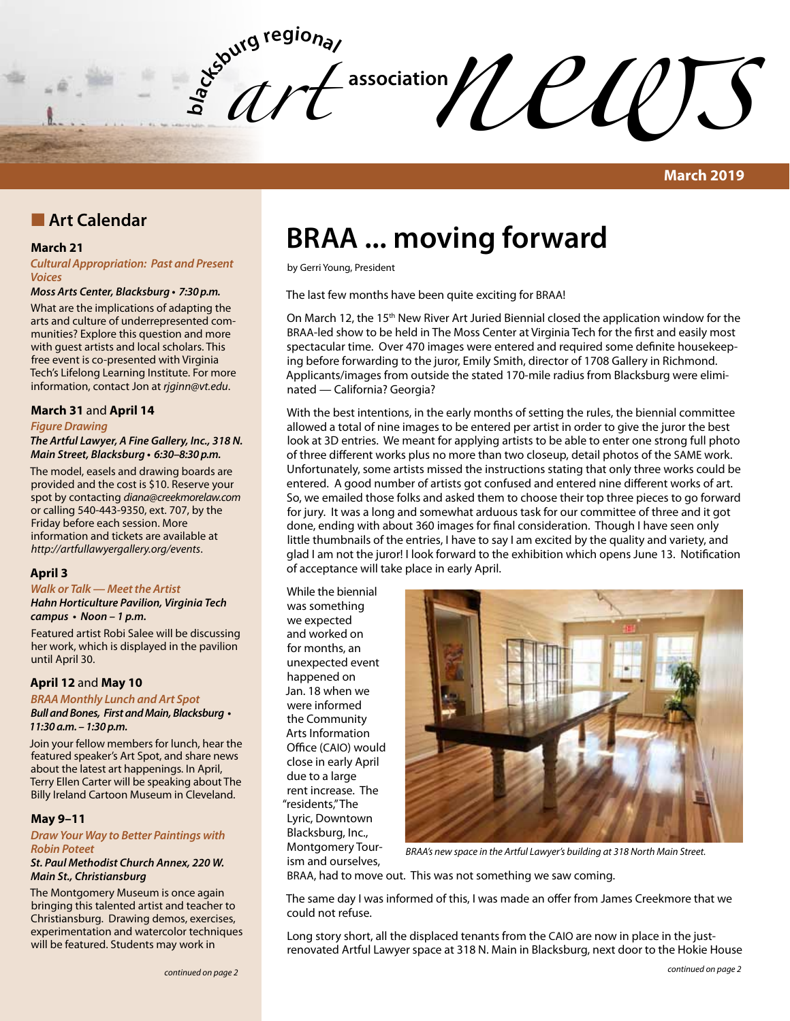**bla** *art*   $\mathcal{U}$ 

### **March 2019**

### **n** Art Calendar

### **March 21**

*Cultural Appropriation: Past and Present Voices*

#### *Moss Arts Center, Blacksburg* **• 7:30 p.m.**

What are the implications of adapting the arts and culture of underrepresented communities? Explore this question and more with guest artists and local scholars. This free event is co-presented with Virginia Tech's Lifelong Learning Institute. For more information, contact Jon at *rjginn@vt.edu*.

### **March 31** and **April 14**

### *Figure Drawing*

**The Artful Lawyer, A Fine Gallery, Inc., 318 N.**  *Main Street, Blacksburg* **• 6:30–8:30 p.m.**

The model, easels and drawing boards are provided and the cost is \$10. Reserve your spot by contacting *diana@creekmorelaw.com* or calling 540-443-9350, ext. 707, by the Friday before each session. More information and tickets are available at *http://artfullawyergallery.org/events*.

### **April 3**

*Walk or Talk — Meet the Artist Hahn Horticulture Pavilion, Virginia Tech*  **campus • Noon – 1 p.m.**

Featured artist Robi Salee will be discussing her work, which is displayed in the pavilion until April 30.

### **April 12** and **May 10**

*BRAA Monthly Lunch and Art Spot* **Bull and Bones, First and Main, Blacksburg • 11:30 a.m. – 1:30 p.m.**

Join your fellow members for lunch, hear the featured speaker's Art Spot, and share news about the latest art happenings. In April, Terry Ellen Carter will be speaking about The Billy Ireland Cartoon Museum in Cleveland.

### **May 9–11**

### *Draw Your Way to Better Paintings with Robin Poteet*

**St. Paul Methodist Church Annex, 220 W. Main St., Christiansburg** 

The Montgomery Museum is once again bringing this talented artist and teacher to Christiansburg. Drawing demos, exercises, experimentation and watercolor techniques will be featured. Students may work in

# **BRAA ... moving forward**

by Gerri Young, President

The last few months have been quite exciting for BRAA!

On March 12, the 15<sup>th</sup> New River Art Juried Biennial closed the application window for the BRAA-led show to be held in The Moss Center at Virginia Tech for the first and easily most spectacular time. Over 470 images were entered and required some definite housekeeping before forwarding to the juror, Emily Smith, director of 1708 Gallery in Richmond. Applicants/images from outside the stated 170-mile radius from Blacksburg were eliminated — California? Georgia?

With the best intentions, in the early months of setting the rules, the biennial committee allowed a total of nine images to be entered per artist in order to give the juror the best look at 3D entries. We meant for applying artists to be able to enter one strong full photo of three different works plus no more than two closeup, detail photos of the SAME work. Unfortunately, some artists missed the instructions stating that only three works could be entered. A good number of artists got confused and entered nine different works of art. So, we emailed those folks and asked them to choose their top three pieces to go forward for jury. It was a long and somewhat arduous task for our committee of three and it got done, ending with about 360 images for final consideration. Though I have seen only little thumbnails of the entries, I have to say I am excited by the quality and variety, and glad I am not the juror! I look forward to the exhibition which opens June 13. Notification of acceptance will take place in early April.

While the biennial was something we expected and worked on for months, an unexpected event happened on Jan. 18 when we were informed the Community Arts Information Office (CAIO) would close in early April due to a large rent increase. The "residents," The Lyric, Downtown Blacksburg, Inc., Montgomery Tourism and ourselves,



*BRAA's new space in the Artful Lawyer's building at 318 North Main Street.*

BRAA, had to move out. This was not something we saw coming.

The same day I was informed of this, I was made an offer from James Creekmore that we could not refuse.

Long story short, all the displaced tenants from the CAIO are now in place in the justrenovated Artful Lawyer space at 318 N. Main in Blacksburg, next door to the Hokie House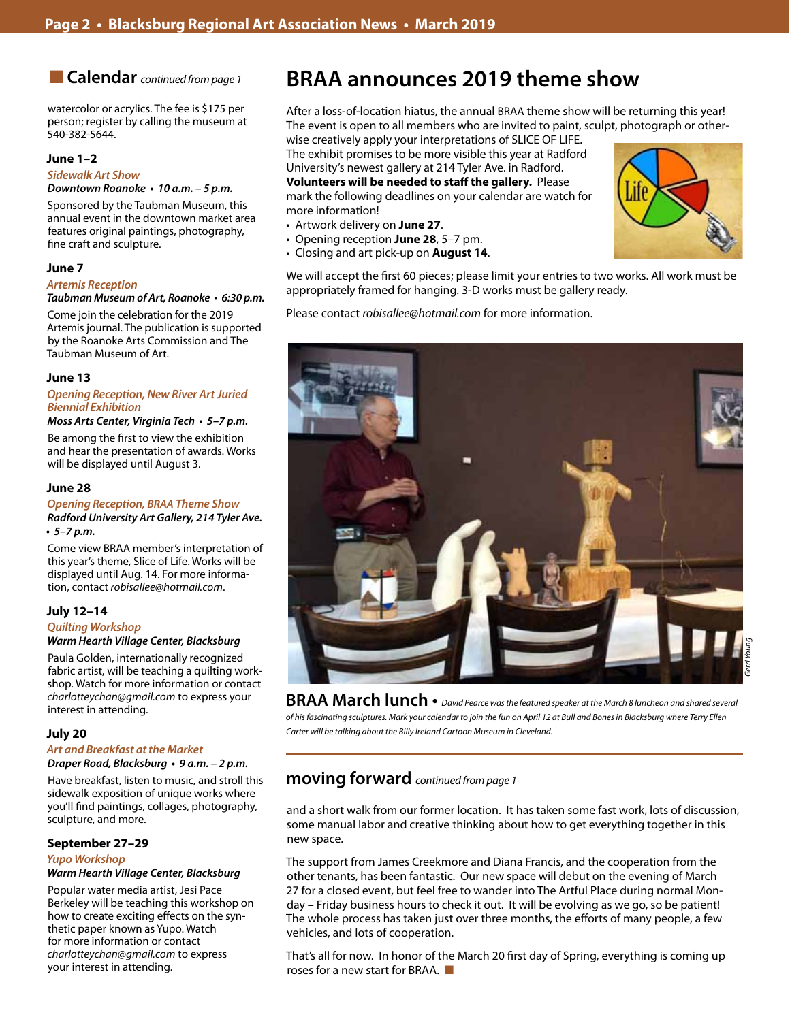n **Calendar** *continued from page 1*

watercolor or acrylics. The fee is \$175 per person; register by calling the museum at 540-382-5644.

### **June 1–2**

*Sidewalk Art Show*

**Downtown Roanoke • 10 a.m. – 5 p.m.**

Sponsored by the Taubman Museum, this annual event in the downtown market area features original paintings, photography, fine craft and sculpture.

### **June 7**

#### **Artemis Reception**

#### **Taubman Museum of Art, Roanoke • 6:30 p.m.**

Come join the celebration for the 2019 Artemis journal. The publication is supported by the Roanoke Arts Commission and The Taubman Museum of Art.

### **June 13**

### **Opening Reception, New River Art Juried Biennial Exhibition**

### **Moss Arts Center, Virginia Tech • 5–7 p.m.**

Be among the first to view the exhibition and hear the presentation of awards. Works will be displayed until August 3.

### **June 28**

### *Opening Reception, BRAA* **Theme Show Radford University Art Gallery, 214 Tyler Ave. • 5–7 p.m.**

Come view BRAA member's interpretation of this year's theme, Slice of Life. Works will be displayed until Aug. 14. For more information, contact *robisallee@hotmail.com*.

### **July 12–14**

### *Quilting Workshop*

**Warm Hearth Village Center, Blacksburg** 

Paula Golden, internationally recognized fabric artist, will be teaching a quilting workshop. Watch for more information or contact *charlotteychan@gmail.com* to express your interest in attending.

### **July 20**

### *Art and Breakfast at the Market*

**Draper Road, Blacksburg • 9 a.m. – 2 p.m.**  Have breakfast, listen to music, and stroll this sidewalk exposition of unique works where

you'll find paintings, collages, photography, sculpture, and more.

### **September 27–29**

### *Yupo Workshop*

### **Warm Hearth Village Center, Blacksburg**

Popular water media artist, Jesi Pace Berkeley will be teaching this workshop on how to create exciting effects on the synthetic paper known as Yupo. Watch for more information or contact *charlotteychan@gmail.com* to express your interest in attending.

## **BRAA announces 2019 theme show**

After a loss-of-location hiatus, the annual BRAA theme show will be returning this year! The event is open to all members who are invited to paint, sculpt, photograph or other-

wise creatively apply your interpretations of SLICE OF LIFE. The exhibit promises to be more visible this year at Radford University's newest gallery at 214 Tyler Ave. in Radford. **Volunteers will be needed to staff the gallery.** Please

mark the following deadlines on your calendar are watch for more information!

- • Artwork delivery on **June 27**.
- • Opening reception **June 28**, 5–7 pm.
- • Closing and art pick-up on **August 14**.

We will accept the first 60 pieces; please limit your entries to two works. All work must be appropriately framed for hanging. 3-D works must be gallery ready.

Please contact *robisallee@hotmail.com* for more information.



**BRAA March lunch •** *David Pearce was the featured speaker at the March 8 luncheon and shared several of his fascinating sculptures. Mark your calendar to join the fun on April 12 at Bull and Bones in Blacksburg where Terry Ellen Carter will be talking about the Billy Ireland Cartoon Museum in Cleveland.*

### **moving forward** *continued from page 1*

and a short walk from our former location. It has taken some fast work, lots of discussion, some manual labor and creative thinking about how to get everything together in this new space.

The support from James Creekmore and Diana Francis, and the cooperation from the other tenants, has been fantastic. Our new space will debut on the evening of March 27 for a closed event, but feel free to wander into The Artful Place during normal Monday – Friday business hours to check it out. It will be evolving as we go, so be patient! The whole process has taken just over three months, the efforts of many people, a few vehicles, and lots of cooperation.

That's all for now. In honor of the March 20 first day of Spring, everything is coming up roses for a new start for BRAA.  $\blacksquare$ 

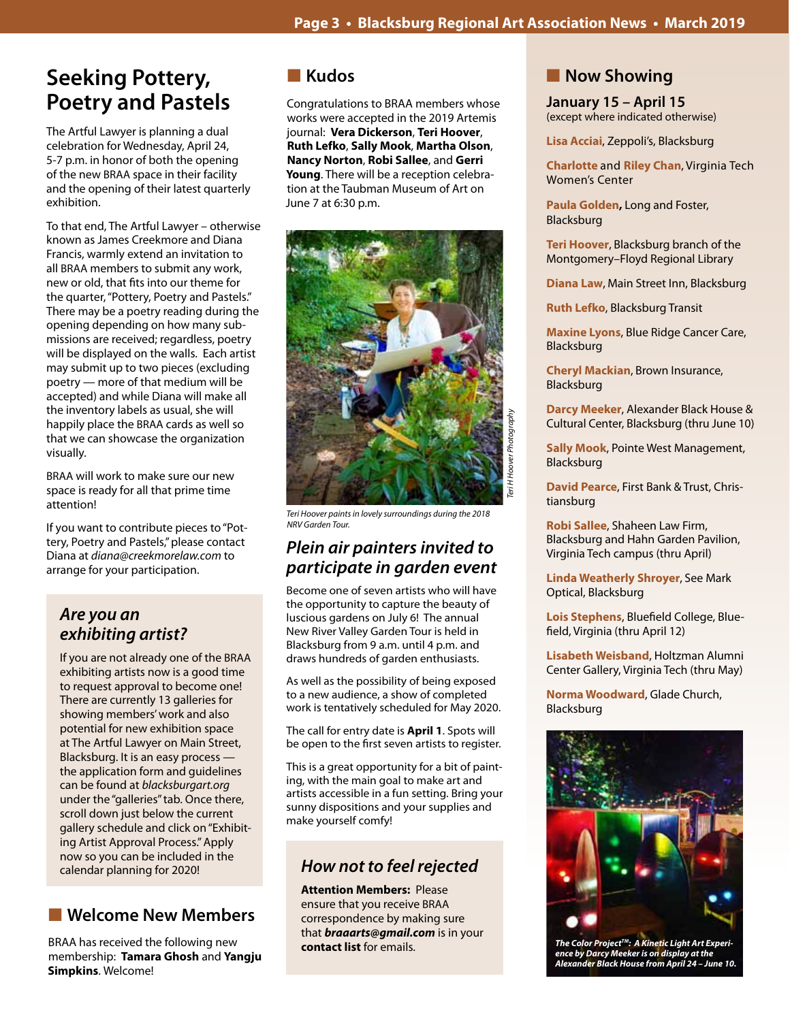## **Seeking Pottery, Poetry and Pastels**

The Artful Lawyer is planning a dual celebration for Wednesday, April 24, 5-7 p.m. in honor of both the opening of the new BRAA space in their facility and the opening of their latest quarterly exhibition.

To that end, The Artful Lawyer – otherwise known as James Creekmore and Diana Francis, warmly extend an invitation to all BRAA members to submit any work, new or old, that fits into our theme for the quarter, "Pottery, Poetry and Pastels." There may be a poetry reading during the opening depending on how many submissions are received; regardless, poetry will be displayed on the walls. Each artist may submit up to two pieces (excluding poetry — more of that medium will be accepted) and while Diana will make all the inventory labels as usual, she will happily place the BRAA cards as well so that we can showcase the organization visually.

BRAA will work to make sure our new space is ready for all that prime time attention!

If you want to contribute pieces to "Pottery, Poetry and Pastels," please contact Diana at *diana@creekmorelaw.com* to arrange for your participation.

## *Are you an*  **exhibiting artist?**

If you are not already one of the BRAA exhibiting artists now is a good time to request approval to become one! There are currently 13 galleries for showing members' work and also potential for new exhibition space at The Artful Lawyer on Main Street, Blacksburg. It is an easy process the application form and guidelines can be found at *blacksburgart.org* under the "galleries" tab. Once there, scroll down just below the current gallery schedule and click on "Exhibiting Artist Approval Process." Apply now so you can be included in the calendar planning for 2020!

## **n** Welcome New Members

BRAA has received the following new membership: **Tamara Ghosh** and **Yangju Simpkins**. Welcome!

## n **Kudos**

Congratulations to BRAA members whose works were accepted in the 2019 Artemis journal: **Vera Dickerson**, **Teri Hoover**, **Ruth Lefko**, **Sally Mook**, **Martha Olson**, **Nancy Norton**, **Robi Sallee**, and **Gerri Young**. There will be a reception celebration at the Taubman Museum of Art on June 7 at 6:30 p.m.



*Teri Hoover paints in lovely surroundings during the 2018 NRV Garden Tour.*

## *Plein air painters invited to participate in garden event*

Become one of seven artists who will have the opportunity to capture the beauty of luscious gardens on July 6! The annual New River Valley Garden Tour is held in Blacksburg from 9 a.m. until 4 p.m. and draws hundreds of garden enthusiasts.

As well as the possibility of being exposed to a new audience, a show of completed work is tentatively scheduled for May 2020.

The call for entry date is **April 1**. Spots will be open to the first seven artists to register.

This is a great opportunity for a bit of painting, with the main goal to make art and artists accessible in a fun setting. Bring your sunny dispositions and your supplies and make yourself comfy!

## *How not to feel rejected*

**Attention Members:** Please ensure that you receive BRAA correspondence by making sure that *braaarts@gmail.com* is in your **contact list** for emails.

## **Now Showing**

**January 15 – April 15** (except where indicated otherwise)

**Lisa Acciai**, Zeppoli's, Blacksburg

**Charlotte** and **Riley Chan**, Virginia Tech Women's Center

**Paula Golden,** Long and Foster, Blacksburg

**Teri Hoover**, Blacksburg branch of the Montgomery–Floyd Regional Library

**Diana Law**, Main Street Inn, Blacksburg

**Ruth Lefko**, Blacksburg Transit

**Maxine Lyons**, Blue Ridge Cancer Care, Blacksburg

**Cheryl Mackian**, Brown Insurance, Blacksburg

**Darcy Meeker**, Alexander Black House & Cultural Center, Blacksburg (thru June 10)

**Sally Mook**, Pointe West Management, Blacksburg

**David Pearce**, First Bank & Trust, Christiansburg

**Robi Sallee**, Shaheen Law Firm, Blacksburg and Hahn Garden Pavilion, Virginia Tech campus (thru April)

**Linda Weatherly Shroyer**, See Mark Optical, Blacksburg

**Lois Stephens**, Bluefield College, Bluefield, Virginia (thru April 12)

**Lisabeth Weisband**, Holtzman Alumni Center Gallery, Virginia Tech (thru May)

**Norma Woodward**, Glade Church, Blacksburg



*The Color ProjectTM: A Kinetic Light Art Experience by Darcy Meeker is on display at the Alexander Black House from April 24 – June 10.*